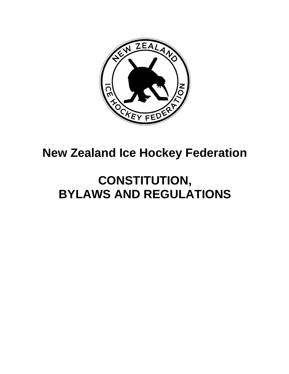

# **New Zealand Ice Hockey Federation**

# **CONSTITUTION, BYLAWS AND REGULATIONS**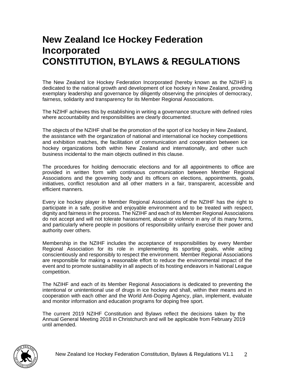# **New Zealand Ice Hockey Federation Incorporated CONSTITUTION, BYLAWS & REGULATIONS**

The New Zealand Ice Hockey Federation Incorporated (hereby known as the NZIHF) is dedicated to the national growth and development of ice hockey in New Zealand, providing exemplary leadership and governance by diligently observing the principles of democracy, fairness, solidarity and transparency for its Member Regional Associations.

The NZIHF achieves this by establishing in writing a governance structure with defined roles where accountability and responsibilities are clearly documented.

The objects of the NZIHF shall be the promotion of the sport of ice hockey in New Zealand, the assistance with the organization of national and international ice hockey competitions and exhibition matches, the facilitation of communication and cooperation between ice hockey organizations both within New Zealand and internationally, and other such business incidental to the main objects outlined in this clause.

The procedures for holding democratic elections and for all appointments to office are provided in written form with continuous communication between Member Regional Associations and the governing body and its officers on elections, appointments, goals, initiatives, conflict resolution and all other matters in a fair, transparent, accessible and efficient manners.

Every ice hockey player in Member Regional Associations of the NZIHF has the right to participate in a safe, positive and enjoyable environment and to be treated with respect, dignity and fairness in the process. The NZIHF and each of its Member Regional Associations do not accept and will not tolerate harassment, abuse or violence in any of its many forms, and particularly where people in positions of responsibility unfairly exercise their power and authority over others.

Membership in the NZIHF includes the acceptance of responsibilities by every Member Regional Association for its role in implementing its sporting goals, while acting conscientiously and responsibly to respect the environment. Member Regional Associations are responsible for making a reasonable effort to reduce the environmental impact of the event and to promote sustainability in all aspects of its hosting endeavors in National League competition.

The NZIHF and each of its Member Regional Associations is dedicated to preventing the intentional or unintentional use of drugs in ice hockey and shall, within their means and in cooperation with each other and the World Anti-Doping Agency, plan, implement, evaluate and monitor information and education programs for doping free sport.

The current 2019 NZIHF Constitution and Bylaws reflect the decisions taken by the Annual General Meeting 2018 in Christchurch and will be applicable from February 2019 until amended.

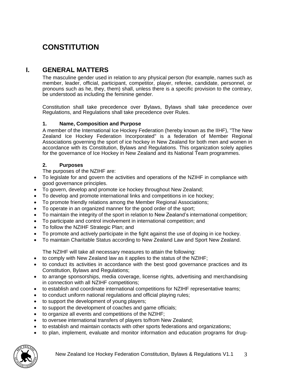# **CONSTITUTION**

# **I. GENERAL MATTERS**

The masculine gender used in relation to any physical person (for example, names such as member, leader, official, participant, competitor, player, referee, candidate, personnel, or pronouns such as he, they, them) shall, unless there is a specific provision to the contrary, be understood as including the feminine gender.

Constitution shall take precedence over Bylaws, Bylaws shall take precedence over Regulations, and Regulations shall take precedence over Rules.

#### **1. Name, Composition and Purpose**

A member of the International Ice Hockey Federation (hereby known as the IIHF), "The New Zealand Ice Hockey Federation Incorporated" is a federation of Member Regional Associations governing the sport of ice hockey in New Zealand for both men and women in accordance with its Constitution, Bylaws and Regulations. This organization solely applies for the governance of Ice Hockey in New Zealand and its National Team programmes.

## **2. Purposes**

The purposes of the NZIHF are:

- To legislate for and govern the activities and operations of the NZIHF in compliance with good governance principles.
- To govern, develop and promote ice hockey throughout New Zealand;
- To develop and promote international links and competitions in ice hockey;
- To promote friendly relations among the Member Regional Associations;
- To operate in an organized manner for the good order of the sport;
- To maintain the integrity of the sport in relation to New Zealand's international competition;
- To participate and control involvement in international competition; and
- To follow the NZIHF Strategic Plan; and
- To promote and actively participate in the fight against the use of doping in ice hockey.
- To maintain Charitable Status according to New Zealand Law and Sport New Zealand.

The NZIHF will take all necessary measures to attain the following:

- to comply with New Zealand law as it applies to the status of the NZIHF;
- to conduct its activities in accordance with the best good governance practices and its Constitution, Bylaws and Regulations;
- to arrange sponsorships, media coverage, license rights, advertising and merchandising in connection with all NZIHF competitions;
- to establish and coordinate international competitions for NZIHF representative teams;
- to conduct uniform national regulations and official playing rules;
- to support the development of young players;
- to support the development of coaches and game officials;
- to organize all events and competitions of the NZIHF;
- to oversee international transfers of players to/from New Zealand;
- to establish and maintain contacts with other sports federations and organizations;
- to plan, implement, evaluate and monitor information and education programs for drug-

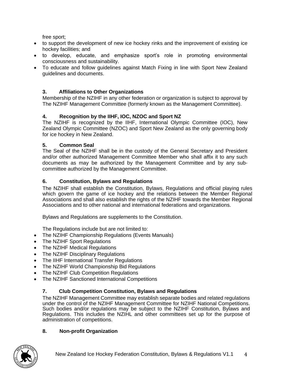free sport;

- to support the development of new ice hockey rinks and the improvement of existing ice hockey facilities; and
- to develop, educate, and emphasize sport's role in promoting environmental consciousness and sustainability.
- To educate and follow guidelines against Match Fixing in line with Sport New Zealand guidelines and documents.

## **3. Affiliations to Other Organizations**

Membership of the NZIHF in any other federation or organization is subject to approval by The NZIHF Management Committee (formerly known as the Management Committee).

## **4. Recognition by the IIHF, IOC, NZOC and Sport NZ**

The NZIHF is recognized by the IIHF, International Olympic Committee (IOC), New Zealand Olympic Committee (NZOC) and Sport New Zealand as the only governing body for ice hockey in New Zealand.

## **5. Common Seal**

The Seal of the NZIHF shall be in the custody of the General Secretary and President and/or other authorized Management Committee Member who shall affix it to any such documents as may be authorized by the Management Committee and by any subcommittee authorized by the Management Committee.

## **6. Constitution, Bylaws and Regulations**

The NZIHF shall establish the Constitution, Bylaws, Regulations and official playing rules which govern the game of ice hockey and the relations between the Member Regional Associations and shall also establish the rights of the NZIHF towards the Member Regional Associations and to other national and international federations and organizations.

Bylaws and Regulations are supplements to the Constitution.

The Regulations include but are not limited to:

- The NZIHF Championship Regulations (Events Manuals)
- The NZIHF Sport Regulations
- The NZIHF Medical Regulations
- The NZIHF Disciplinary Regulations
- The IIHF International Transfer Regulations
- The NZIHF World Championship Bid Regulations
- The NZIHF Club Competition Regulations
- The NZIHF Sanctioned International Competitions

## **7. Club Competition Constitution, Bylaws and Regulations**

The NZIHF Management Committee may establish separate bodies and related regulations under the control of the NZIHF Management Committee for NZIHF National Competitions. Such bodies and/or regulations may be subject to the NZIHF Constitution, Bylaws and Regulations. This includes the NZIHL and other committees set up for the purpose of administration of competitions.

## **8. Non-profit Organization**

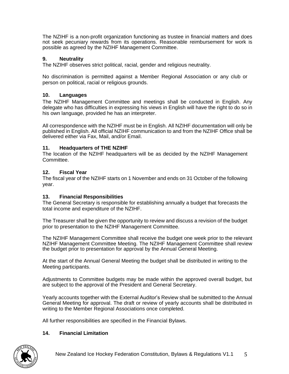The NZIHF is a non-profit organization functioning as trustee in financial matters and does not seek pecuniary rewards from its operations. Reasonable reimbursement for work is possible as agreed by the NZIHF Management Committee.

## **9. Neutrality**

The NZIHF observes strict political, racial, gender and religious neutrality.

No discrimination is permitted against a Member Regional Association or any club or person on political, racial or religious grounds.

## **10. Languages**

The NZIHF Management Committee and meetings shall be conducted in English. Any delegate who has difficulties in expressing his views in English will have the right to do so in his own language, provided he has an interpreter.

All correspondence with the NZIHF must be in English. All NZIHF documentation will only be published in English. All official NZIHF communication to and from the NZIHF Office shall be delivered either via Fax, Mail, and/or Email.

## **11. Headquarters of THE NZIHF**

The location of the NZIHF headquarters will be as decided by the NZIHF Management Committee.

## **12. Fiscal Year**

The fiscal year of the NZIHF starts on 1 November and ends on 31 October of the following year.

## **13. Financial Responsibilities**

The General Secretary is responsible for establishing annually a budget that forecasts the total income and expenditure of the NZIHF.

The Treasurer shall be given the opportunity to review and discuss a revision of the budget prior to presentation to the NZIHF Management Committee.

The NZIHF Management Committee shall receive the budget one week prior to the relevant NZIHF Management Committee Meeting. The NZIHF Management Committee shall review the budget prior to presentation for approval by the Annual General Meeting.

At the start of the Annual General Meeting the budget shall be distributed in writing to the Meeting participants.

Adjustments to Committee budgets may be made within the approved overall budget, but are subject to the approval of the President and General Secretary.

Yearly accounts together with the External Auditor's Review shall be submitted to the Annual General Meeting for approval. The draft or review of yearly accounts shall be distributed in writing to the Member Regional Associations once completed.

All further responsibilities are specified in the Financial Bylaws.

## **14. Financial Limitation**

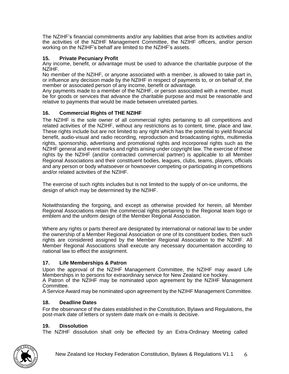The NZIHF's financial commitments and/or any liabilities that arise from its activities and/or the activities of the NZIHF Management Committee, the NZIHF officers, and/or person working on the NZIHF's behalf are limited to the NZIHF's assets.

## **15. Private Pecuniary Profit**

Any income, benefit, or advantage must be used to advance the charitable purpose of the NZIHF.

No member of the NZIHF, or anyone associated with a member, is allowed to take part in, or influence any decision made by the NZIHF in respect of payments to, or on behalf of, the member or associated person of any income, benefit or advantage.

Any payments made to a member of the NZIHF, or person associated with a member, must be for goods or services that advance the charitable purpose and must be reasonable and relative to payments that would be made between unrelated parties.

## **16. Commercial Rights of THE NZIHF**

The NZIHF is the sole owner of all commercial rights pertaining to all competitions and related activities of the NZIHF, without any restrictions as to content, time, place and law. These rights include but are not limited to any right which has the potential to yield financial benefit, audio-visual and radio recording, reproduction and broadcasting rights, multimedia rights, sponsorship, advertising and promotional rights and incorporeal rights such as the NZIHF general and event marks and rights arising under copyright law. The exercise of these rights by the NZIHF (and/or contracted commercial partner) is applicable to all Member Regional Associations and their constituent bodies, leagues, clubs, teams, players, officials and any person or body whatsoever or howsoever competing or participating in competitions and/or related activities of the NZIHF.

The exercise of such rights includes but is not limited to the supply of on-ice uniforms, the design of which may be determined by the NZIHF.

Notwithstanding the forgoing, and except as otherwise provided for herein, all Member Regional Associations retain the commercial rights pertaining to the Regional team logo or emblem and the uniform design of the Member Regional Association.

Where any rights or parts thereof are designated by international or national law to be under the ownership of a Member Regional Association or one of its constituent bodies, then such rights are considered assigned by the Member Regional Association to the NZIHF. All Member Regional Associations shall execute any necessary documentation according to national law to effect the assignment.

## **17. Life Memberships & Patron**

Upon the approval of the NZIHF Management Committee, the NZIHF may award Life Memberships in to persons for extraordinary service for New Zealand ice hockey.

A Patron of the NZIHF may be nominated upon agreement by the NZIHF Management Committee.

A Service Award may be nominated upon agreement by the NZIHF Management Committee.

## **18. Deadline Dates**

For the observance of the dates established in the Constitution, Bylaws and Regulations, the post-mark date of letters or system date mark on e-mails is decisive.

## **19. Dissolution**

The NZIHF dissolution shall only be effected by an Extra-Ordinary Meeting called

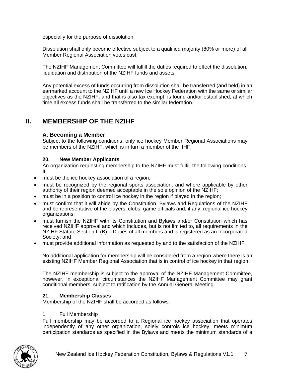especially for the purpose of dissolution.

Dissolution shall only become effective subject to a qualified majority (80% or more) of all Member Regional Association votes cast.

The NZIHF Management Committee will fulfill the duties required to effect the dissolution, liquidation and distribution of the NZIHF funds and assets.

Any potential excess of funds occurring from dissolution shall be transferred (and held) in an earmarked account to the NZIHF until a new Ice Hockey Federation with the same or similar objectives as the NZIHF, and that is also tax exempt, is found and/or established, at which time all excess funds shall be transferred to the similar federation.

# **II. MEMBERSHIP OF THE NZIHF**

## **A. Becoming a Member**

Subject to the following conditions, only ice hockey Member Regional Associations may be members of the NZIHF, which is in turn a member of the IIHF.

## **20. New Member Applicants**

An organization requesting membership to the NZIHF must fulfill the following conditions. It:

- must be the ice hockey association of a region;
- must be recognized by the regional sports association, and where applicable by other authority of their region deemed acceptable in the sole opinion of the NZIHF;
- must be in a position to control ice hockey in the region if played in the region;
- must confirm that it will abide by the Constitution, Bylaws and Regulations of the NZIHF and be representative of the players, clubs, game officials and, if any, regional ice hockey organizations;
- must furnish the NZIHF with its Constitution and Bylaws and/or Constitution which has received NZIHF approval and which includes, but is not limited to, all requirements in the NZIHF Statute Section II (B) – Duties of all members and is registered as an Incorporated Society; and
- must provide additional information as requested by and to the satisfaction of the NZIHF.

No additional application for membership will be considered from a region where there is an existing NZIHF Member Regional Association that is in control of ice hockey in that region.

The NZIHF membership is subject to the approval of the NZIHF Management Committee, however, in exceptional circumstances the NZIHF Management Committee may grant conditional members, subject to ratification by the Annual General Meeting.

## **21. Membership Classes**

Membership of the NZIHF shall be accorded as follows:

## 1. Full Membership

Full membership may be accorded to a Regional ice hockey association that operates independently of any other organization, solely controls ice hockey, meets minimum participation standards as specified in the Bylaws and meets the minimum standards of a

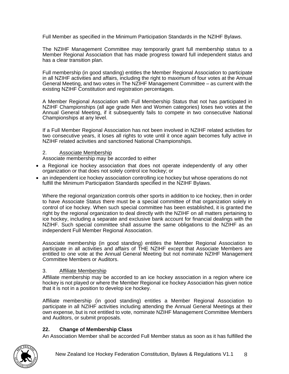Full Member as specified in the Minimum Participation Standards in the NZIHF Bylaws.

The NZIHF Management Committee may temporarily grant full membership status to a Member Regional Association that has made progress toward full independent status and has a clear transition plan.

Full membership (in good standing) entitles the Member Regional Association to participate in all NZIHF activities and affairs, including the right to maximum of four votes at the Annual General Meeting, and two votes in The NZIHF Management Committee – as current with the existing NZIHF Constitution and registration percentages.

A Member Regional Association with Full Membership Status that not has participated in NZIHF Championships (all age grade Men and Women categories) loses two votes at the Annual General Meeting, if it subsequently fails to compete in two consecutive National Championships at any level.

If a Full Member Regional Association has not been involved in NZIHF related activities for two consecutive years, it loses all rights to vote until it once again becomes fully active in NZIHF related activities and sanctioned National Championships.

#### 2. Associate Membership

Associate membership may be accorded to either

- a Regional ice hockey association that does not operate independently of any other organization or that does not solely control ice hockey; or
- an independent ice hockey association controlling ice hockey but whose operations do not fulfill the Minimum Participation Standards specified in the NZIHF Bylaws.

Where the regional organization controls other sports in addition to ice hockey, then in order to have Associate Status there must be a special committee of that organization solely in control of ice hockey. When such special committee has been established, it is granted the right by the regional organization to deal directly with the NZIHF on all matters pertaining to ice hockey, including a separate and exclusive bank account for financial dealings with the NZIHF. Such special committee shall assume the same obligations to the NZIHF as an independent Full Member Regional Association.

Associate membership (in good standing) entitles the Member Regional Association to participate in all activities and affairs of THE NZIHF except that Associate Members are entitled to one vote at the Annual General Meeting but not nominate NZIHF Management Committee Members or Auditors.

#### 3. Affiliate Membership

Affiliate membership may be accorded to an ice hockey association in a region where ice hockey is not played or where the Member Regional ice hockey Association has given notice that it is not in a position to develop ice hockey.

Affiliate membership (in good standing) entitles a Member Regional Association to participate in all NZIHF activities including attending the Annual General Meetings at their own expense, but is not entitled to vote, nominate NZIHF Management Committee Members and Auditors, or submit proposals.

#### **22. Change of Membership Class**

An Association Member shall be accorded Full Member status as soon as it has fulfilled the

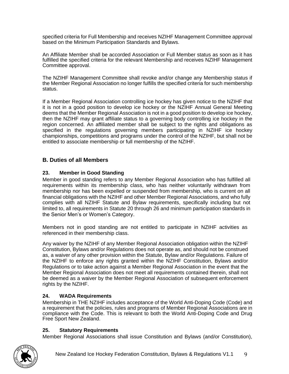specified criteria for Full Membership and receives NZIHF Management Committee approval based on the Minimum Participation Standards and Bylaws.

An Affiliate Member shall be accorded Association or Full Member status as soon as it has fulfilled the specified criteria for the relevant Membership and receives NZIHF Management Committee approval.

The NZIHF Management Committee shall revoke and/or change any Membership status if the Member Regional Association no longer fulfills the specified criteria for such membership status.

If a Member Regional Association controlling ice hockey has given notice to the NZIHF that it is not in a good position to develop ice hockey or the NZIHF Annual General Meeting deems that the Member Regional Association is not in a good position to develop ice hockey, then the NZIHF may grant affiliate status to a governing body controlling ice hockey in the region concerned. An affiliated member shall be subject to the rights and obligations as specified in the regulations governing members participating in NZIHF ice hockey championships, competitions and programs under the control of the NZIHF, but shall not be entitled to associate membership or full membership of the NZIHF.

## **B. Duties of all Members**

#### **23. Member in Good Standing**

Member in good standing refers to any Member Regional Association who has fulfilled all requirements within its membership class, who has neither voluntarily withdrawn from membership nor has been expelled or suspended from membership, who is current on all financial obligations with the NZIHF and other Member Regional Associations, and who fully complies with all NZIHF Statute and Bylaw requirements, specifically including but not limited to, all requirements in Statute 20 through 26 and minimum participation standards in the Senior Men's or Women's Category.

Members not in good standing are not entitled to participate in NZIHF activities as referenced in their membership class.

Any waiver by the NZIHF of any Member Regional Association obligation within the NZIHF Constitution, Bylaws and/or Regulations does not operate as, and should not be construed as, a waiver of any other provision within the Statute, Bylaw and/or Regulations. Failure of the NZIHF to enforce any rights granted within the NZIHF Constitution, Bylaws and/or Regulations or to take action against a Member Regional Association in the event that the Member Regional Association does not meet all requirements contained therein, shall not be deemed as a waiver by the Member Regional Association of subsequent enforcement rights by the NZIHF.

#### **24. WADA Requirements**

Membership in THE NZIHF includes acceptance of the World Anti-Doping Code (Code) and a requirement that the policies, rules and programs of Member Regional Associations are in compliance with the Code. This is relevant to both the World Anti-Doping Code and Drug Free Sport New Zealand.

#### **25. Statutory Requirements**

Member Regional Associations shall issue Constitution and Bylaws (and/or Constitution),

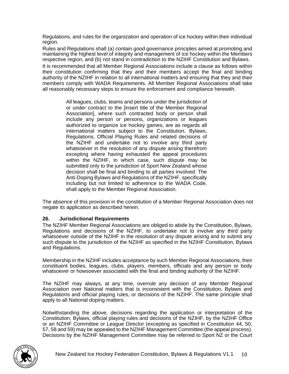Regulations, and rules for the organization and operation of ice hockey within their individual region.

Rules and Regulations shall (a) contain good governance principles aimed at promoting and maintaining the highest level of integrity and management of ice hockey within the Members respective region, and (b) not stand in contradiction to the NZIHF Constitution and Bylaws. It is recommended that all Member Regional Associations include a clause as follows within their constitution confirming that they and their members accept the final and binding authority of the NZIHF in relation to all international matters and ensuring that they and their members comply with WADA Requirements. All Member Regional Associations shall take all reasonably necessary steps to ensure the enforcement and compliance herewith.

> All leagues, clubs, teams and persons under the jurisdiction of or under contract to the [insert title of the Member Regional Association], where such contracted body or person shall include any person or persons, organizations or leagues authorized to organize ice hockey games, are as regards all international matters subject to the Constitution, Bylaws, Regulations, Official Playing Rules and related decisions of the NZIHF and undertake not to involve any third party whatsoever in the resolution of any dispute arising therefrom excepting where having exhausted the appeal procedures within the NZIHF, in which case, such dispute may be submitted only to the jurisdiction of Sport New Zealand whose decision shall be final and binding to all parties involved. The Anti-Doping Bylaws and Regulations of the NZIHF, specifically including but not limited to adherence to the WADA Code, shall apply to the Member Regional Association.

The absence of this provision in the constitution of a Member Regional Association does not negate its application as described herein.

#### **26. Jurisdictional Requirements**

The NZIHF Member Regional Associations are obliged to abide by the Constitution, Bylaws, Regulations and decisions of the NZIHF, to undertake not to involve any third party whatsoever outside of the NZIHF in the resolution of any dispute arising and to submit any such dispute to the jurisdiction of the NZIHF as specified in the NZIHF Constitution, Bylaws and Regulations.

Membership in the NZIHF includes acceptance by such Member Regional Associations, their constituent bodies, leagues, clubs, players, members, officials and any person or body whatsoever or howsoever associated with the final and binding authority of the NZIHF.

The NZIHF may always, at any time, overrule any decision of any Member Regional Association over National matters that is inconsistent with the Constitution, Bylaws and Regulations and official playing rules, or decisions of the NZIHF. The same principle shall apply to all National doping matters.

Notwithstanding the above, decisions regarding the application or interpretation of the Constitution, Bylaws, official playing rules and decisions of the NZIHF, by the NZIHF Office or an NZIHF Committee or League Director (excepting as specified in Constitution 44, 50, 57, 58 and 59) may be appealed to the NZIHF Management Committee (the appeal process). Decisions by the NZIHF Management Committee may be referred to Sport NZ or the Court

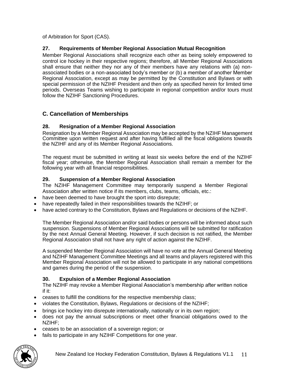of Arbitration for Sport (CAS).

## **27. Requirements of Member Regional Association Mutual Recognition**

Member Regional Associations shall recognize each other as being solely empowered to control ice hockey in their respective regions; therefore, all Member Regional Associations shall ensure that neither they nor any of their members have any relations with (a) nonassociated bodies or a non-associated body's member or (b) a member of another Member Regional Association, except as may be permitted by the Constitution and Bylaws or with special permission of the NZIHF President and then only as specified herein for limited time periods. Overseas Teams wishing to participate in regional competition and/or tours must follow the NZIHF Sanctioning Procedures.

## **C. Cancellation of Memberships**

## **28. Resignation of a Member Regional Association**

Resignation by a Member Regional Association may be accepted by the NZIHF Management Committee upon written request and after having fulfilled all the fiscal obligations towards the NZIHF and any of its Member Regional Associations.

The request must be submitted in writing at least six weeks before the end of the NZIHF fiscal year; otherwise, the Member Regional Association shall remain a member for the following year with all financial responsibilities.

## **29. Suspension of a Member Regional Association**

The NZIHF Management Committee may temporarily suspend a Member Regional Association after written notice if its members, clubs, teams, officials, etc.:

- have been deemed to have brought the sport into disrepute;
- have repeatedly failed in their responsibilities towards the NZIHF; or
- have acted contrary to the Constitution, Bylaws and Regulations or decisions of the NZIHF.

The Member Regional Association and/or said bodies or persons will be informed about such suspension. Suspensions of Member Regional Associations will be submitted for ratification by the next Annual General Meeting. However, if such decision is not ratified, the Member Regional Association shall not have any right of action against the NZIHF.

A suspended Member Regional Association will have no vote at the Annual General Meeting and NZIHF Management Committee Meetings and all teams and players registered with this Member Regional Association will not be allowed to participate in any national competitions and games during the period of the suspension.

## **30. Expulsion of a Member Regional Association**

The NZIHF may revoke a Member Regional Association's membership after written notice if it:

- ceases to fulfill the conditions for the respective membership class;
- violates the Constitution, Bylaws, Regulations or decisions of the NZIHF;
- brings ice hockey into disrepute internationally, nationally or in its own region;
- does not pay the annual subscriptions or meet other financial obligations owed to the NZIHF;
- ceases to be an association of a sovereign region; or
- fails to participate in any NZIHF Competitions for one year.

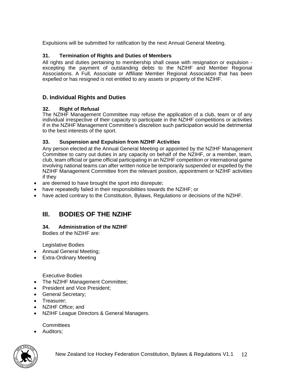Expulsions will be submitted for ratification by the next Annual General Meeting.

## **31. Termination of Rights and Duties of Members**

All rights and duties pertaining to membership shall cease with resignation or expulsion excepting the payment of outstanding debts to the NZIHF and Member Regional Associations. A Full, Associate or Affiliate Member Regional Association that has been expelled or has resigned is not entitled to any assets or property of the NZIHF.

## **D. Individual Rights and Duties**

## **32. Right of Refusal**

The NZIHF Management Committee may refuse the application of a club, team or of any individual irrespective of their capacity to participate in the NZIHF competitions or activities if in the NZIHF Management Committee's discretion such participation would be detrimental to the best interests of the sport.

#### **33. Suspension and Expulsion from NZIHF Activities**

Any person elected at the Annual General Meeting or appointed by the NZIHF Management Committee to carry out duties in any capacity on behalf of the NZIHF, or a member, team, club, team official or game official participating in an NZIHF competition or international game involving national teams can after written notice be temporarily suspended or expelled by the NZIHF Management Committee from the relevant position, appointment or NZIHF activities if they

- are deemed to have brought the sport into disrepute;
- have repeatedly failed in their responsibilities towards the NZIHF; or
- have acted contrary to the Constitution, Bylaws, Regulations or decisions of the NZIHF.

# **III. BODIES OF THE NZIHF**

#### **34. Administration of the NZIHF**

Bodies of the NZIHF are:

Legislative Bodies

- Annual General Meeting;
- Extra-Ordinary Meeting

Executive Bodies

- The NZIHF Management Committee;
- President and Vice President;
- General Secretary;
- Treasurer;
- NZIHF Office; and
- NZIHF League Directors & General Managers.

**Committees** 

• Auditors;

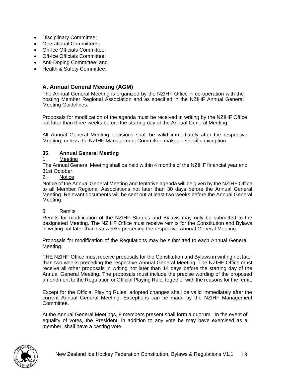- Disciplinary Committee;
- Operational Committees;
- On-Ice Officials Committee;
- Off-Ice Officials Committee:
- Anti-Doping Committee; and
- Health & Safety Committee.

## **A. Annual General Meeting (AGM)**

The Annual General Meeting is organized by the NZIHF Office in co-operation with the hosting Member Regional Association and as specified in the NZIHF Annual General Meeting Guidelines.

Proposals for modification of the agenda must be received in writing by the NZIHF Office not later than three weeks before the starting day of the Annual General Meeting.

All Annual General Meeting decisions shall be valid immediately after the respective Meeting, unless the NZIHF Management Committee makes a specific exception.

#### **35. Annual General Meeting**

#### 1. Meeting

The Annual General Meeting shall be held within 4 months of the NZIHF financial year end 31st October.

2. Notice

Notice of the Annual General Meeting and tentative agenda will be given by the NZIHF Office to all Member Regional Associations not later than 30 days before the Annual General Meeting. Relevant documents will be sent out at least two weeks before the Annual General Meeting.

#### 3. Remits

Remits for modification of the NZIHF Statues and Bylaws may only be submitted to the designated Meeting. The NZIHF Office must receive remits for the Constitution and Bylaws in writing not later than two weeks preceding the respective Annual General Meeting.

Proposals for modification of the Regulations may be submitted to each Annual General Meeting.

THE NZIHF Office must receive proposals for the Constitution and Bylaws in writing not later than two weeks preceding the respective Annual General Meeting. The NZIHF Office must receive all other proposals in writing not later than 14 days before the starting day of the Annual General Meeting. The proposals must include the precise wording of the proposed amendment to the Regulation or Official Playing Rule, together with the reasons for the remit.

Except for the Official Playing Rules, adopted changes shall be valid immediately after the current Annual General Meeting. Exceptions can be made by the NZIHF Management Committee.

At the Annual General Meetings, 8 members present shall form a quorum. In the event of equality of votes, the President, in addition to any vote he may have exercised as a member, shall have a casting vote.

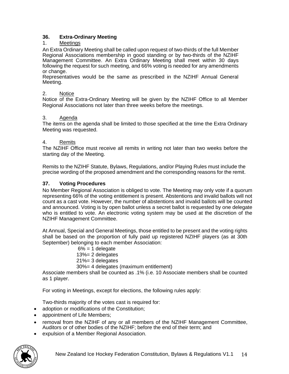## **36. Extra-Ordinary Meeting**

### 1. Meetings

An Extra Ordinary Meeting shall be called upon request of two-thirds of the full Member Regional Associations membership in good standing or by two-thirds of the NZIHF Management Committee. An Extra Ordinary Meeting shall meet within 30 days following the request for such meeting, and 66% voting is needed for any amendments or change.

Representatives would be the same as prescribed in the NZIHF Annual General Meeting.

#### 2. Notice

Notice of the Extra-Ordinary Meeting will be given by the NZIHF Office to all Member Regional Associations not later than three weeks before the meetings.

#### 3. Agenda

The items on the agenda shall be limited to those specified at the time the Extra Ordinary Meeting was requested.

#### 4. Remits

The NZIHF Office must receive all remits in writing not later than two weeks before the starting day of the Meeting.

Remits to the NZIHF Statute, Bylaws, Regulations, and/or Playing Rules must include the precise wording of the proposed amendment and the corresponding reasons for the remit.

## **37. Voting Procedures**

No Member Regional Association is obliged to vote. The Meeting may only vote if a quorum representing 66% of the voting entitlement is present. Abstentions and invalid ballots will not count as a cast vote. However, the number of abstentions and invalid ballots will be counted and announced. Voting is by open ballot unless a secret ballot is requested by one delegate who is entitled to vote. An electronic voting system may be used at the discretion of the NZIHF Management Committee.

At Annual, Special and General Meetings, those entitled to be present and the voting rights shall be based on the proportion of fully paid up registered NZIHF players (as at 30th September) belonging to each member Association:

 $6\% = 1$  delegate 13%= 2 delegates 21%= 3 delegates 30%= 4 delegates (maximum entitlement)

Associate members shall be counted as .1% (i.e. 10 Associate members shall be counted as 1 player.

For voting in Meetings, except for elections, the following rules apply:

Two-thirds majority of the votes cast is required for:

- adoption or modifications of the Constitution;
- appointment of Life Members:
- removal from the NZIHF of any or all members of the NZIHF Management Committee, Auditors or of other bodies of the NZIHF; before the end of their term; and
- expulsion of a Member Regional Association.

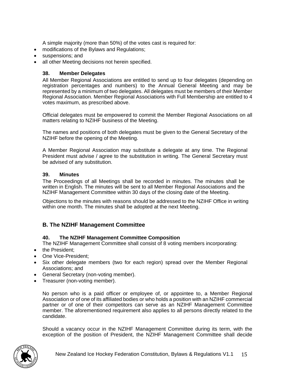A simple majority (more than 50%) of the votes cast is required for:

- modifications of the Bylaws and Regulations;
- suspensions; and
- all other Meeting decisions not herein specified.

#### **38. Member Delegates**

All Member Regional Associations are entitled to send up to four delegates (depending on registration percentages and numbers) to the Annual General Meeting and may be represented by a minimum of two delegates. All delegates must be members of their Member Regional Association. Member Regional Associations with Full Membership are entitled to 4 votes maximum, as prescribed above.

Official delegates must be empowered to commit the Member Regional Associations on all matters relating to NZIHF business of the Meeting.

The names and positions of both delegates must be given to the General Secretary of the NZIHF before the opening of the Meeting.

A Member Regional Association may substitute a delegate at any time. The Regional President must advise / agree to the substitution in writing. The General Secretary must be advised of any substitution.

#### **39. Minutes**

The Proceedings of all Meetings shall be recorded in minutes. The minutes shall be written in English. The minutes will be sent to all Member Regional Associations and the NZIHF Management Committee within 30 days of the closing date of the Meeting.

Objections to the minutes with reasons should be addressed to the NZIHF Office in writing within one month. The minutes shall be adopted at the next Meeting.

## **B. The NZIHF Management Committee**

#### **40. The NZIHF Management Committee Composition**

The NZIHF Management Committee shall consist of 8 voting members incorporating:

- the President:
- One Vice-President;
- Six other delegate members (two for each region) spread over the Member Regional Associations; and
- General Secretary (non-voting member).
- Treasurer (non-voting member).

No person who is a paid officer or employee of, or appointee to, a Member Regional Association or of one of its affiliated bodies or who holds a position with an NZIHF commercial partner or of one of their competitors can serve as an NZIHF Management Committee member. The aforementioned requirement also applies to all persons directly related to the candidate.

Should a vacancy occur in the NZIHF Management Committee during its term, with the exception of the position of President, the NZIHF Management Committee shall decide

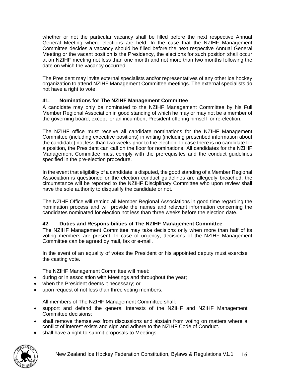whether or not the particular vacancy shall be filled before the next respective Annual General Meeting where elections are held. In the case that the NZIHF Management Committee decides a vacancy should be filled before the next respective Annual General Meeting or the vacant position is the Presidency, the elections for such position shall occur at an NZIHF meeting not less than one month and not more than two months following the date on which the vacancy occurred.

The President may invite external specialists and/or representatives of any other ice hockey organization to attend NZIHF Management Committee meetings. The external specialists do not have a right to vote.

#### **41. Nominations for The NZIHF Management Committee**

A candidate may only be nominated to the NZIHF Management Committee by his Full Member Regional Association in good standing of which he may or may not be a member of the governing board, except for an incumbent President offering himself for re-election.

The NZIHF office must receive all candidate nominations for the NZIHF Management Committee (including executive positions) in writing (including prescribed information about the candidate) not less than two weeks prior to the election. In case there is no candidate for a position, the President can call on the floor for nominations. All candidates for the NZIHF Management Committee must comply with the prerequisites and the conduct guidelines specified in the pre-election procedure.

In the event that eligibility of a candidate is disputed, the good standing of a Member Regional Association is questioned or the election conduct guidelines are allegedly breached, the circumstance will be reported to the NZIHF Disciplinary Committee who upon review shall have the sole authority to disqualify the candidate or not.

The NZIHF Office will remind all Member Regional Associations in good time regarding the nomination process and will provide the names and relevant information concerning the candidates nominated for election not less than three weeks before the election date.

## **42. Duties and Responsibilities of The NZIHF Management Committee**

The NZIHF Management Committee may take decisions only when more than half of its voting members are present. In case of urgency, decisions of the NZIHF Management Committee can be agreed by mail, fax or e-mail.

In the event of an equality of votes the President or his appointed deputy must exercise the casting vote.

The NZIHF Management Committee will meet:

- during or in association with Meetings and throughout the year;
- when the President deems it necessary; or
- upon request of not less than three voting members.

All members of The NZIHF Management Committee shall:

- support and defend the general interests of the NZIHF and NZIHF Management Committee decisions;
- shall remove themselves from discussions and abstain from voting on matters where a conflict of interest exists and sign and adhere to the NZIHF Code of Conduct.
- shall have a right to submit proposals to Meetings.

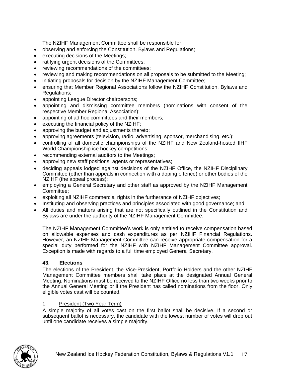The NZIHF Management Committee shall be responsible for:

- observing and enforcing the Constitution, Bylaws and Regulations;
- executing decisions of the Meetings;
- ratifying urgent decisions of the Committees;
- reviewing recommendations of the committees;
- reviewing and making recommendations on all proposals to be submitted to the Meeting;
- initiating proposals for decision by the NZIHF Management Committee;
- ensuring that Member Regional Associations follow the NZIHF Constitution, Bylaws and Regulations;
- appointing League Director chairpersons;
- appointing and dismissing committee members (nominations with consent of the respective Member Regional Association);
- appointing of ad hoc committees and their members;
- executing the financial policy of the NZIHF;
- approving the budget and adjustments thereto;
- approving agreements (television, radio, advertising, sponsor, merchandising, etc.);
- controlling of all domestic championships of the NZIHF and New Zealand-hosted IIHF World Championship ice hockey competitions;
- recommending external auditors to the Meetings;
- approving new staff positions, agents or representatives;
- deciding appeals lodged against decisions of the NZIHF Office, the NZIHF Disciplinary Committee (other than appeals in connection with a doping offence) or other bodies of the NZIHF (the appeal process);
- employing a General Secretary and other staff as approved by the NZIHF Management Committee;
- exploiting all NZIHF commercial rights in the furtherance of NZIHF objectives;
- Instituting and observing practices and principles associated with good governance; and
- All duties and matters arising that are not specifically outlined in the Constitution and Bylaws are under the authority of the NZIHF Management Committee.

The NZIHF Management Committee's work is only entitled to receive compensation based on allowable expenses and cash expenditures as per NZIHF Financial Regulations. However, an NZIHF Management Committee can receive appropriate compensation for a special duty performed for the NZIHF with NZIHF Management Committee approval. Exception is made with regards to a full time employed General Secretary.

## **43. Elections**

The elections of the President, the Vice-President, Portfolio Holders and the other NZIHF Management Committee members shall take place at the designated Annual General Meeting. Nominations must be received to the NZIHF Office no less than two weeks prior to the Annual General Meeting or if the President has called nominations from the floor. Only eligible votes cast will be counted.

## 1. President (Two Year Term)

A simple majority of all votes cast on the first ballot shall be decisive. If a second or subsequent ballot is necessary, the candidate with the lowest number of votes will drop out until one candidate receives a simple majority.

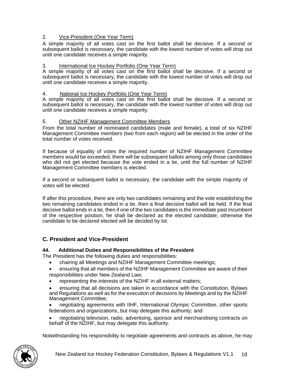## 2. Vice-President (One Year Term)

A simple majority of all votes cast on the first ballot shall be decisive. If a second or subsequent ballot is necessary, the candidate with the lowest number of votes will drop out until one candidate receives a simple majority.

#### 3. International Ice Hockey Portfolio (One Year Term)

A simple majority of all votes cast on the first ballot shall be decisive. If a second or subsequent ballot is necessary, the candidate with the lowest number of votes will drop out until one candidate receives a simple majority.

#### 4. National Ice Hockey Portfolio (One Year Term)

A simple majority of all votes cast on the first ballot shall be decisive. If a second or subsequent ballot is necessary, the candidate with the lowest number of votes will drop out until one candidate receives a simple majority.

#### 5. Other NZIHF Management Committee Members

From the total number of nominated candidates (male and female), a total of six NZIHF Management Committee members (two from each region) will be elected in the order of the total number of votes received.

If because of equality of votes the required number of NZIHF Management Committee members would be exceeded, there will be subsequent ballots among only those candidates who did not get elected because the vote ended in a tie, until the full number of NZIHF Management Committee members is elected.

If a second or subsequent ballot is necessary, the candidate with the simple majority of votes will be elected.

If after this procedure, there are only two candidates remaining and the vote establishing the two remaining candidates ended in a tie, then a final decisive ballot will be held. If the final decisive ballot ends in a tie, then if one of the two candidates is the immediate past incumbent of the respective position, he shall be declared as the elected candidate; otherwise the candidate to be declared elected will be decided by lot.

## **C. President and Vice-President**

#### **44. Additional Duties and Responsibilities of the President**

The President has the following duties and responsibilities:

- chairing all Meetings and NZIHF Management Committee meetings;
- ensuring that all members of the NZIHF Management Committee are aware of their responsibilities under New Zealand Law;
- representing the interests of the NZIHF in all external matters;
- ensuring that all decisions are taken in accordance with the Constitution, Bylaws and Regulations as well as for the execution of decisions by Meetings and by the NZIHF Management Committee;
- negotiating agreements with IIHF, International Olympic Committee, other sports federations and organizations, but may delegate this authority; and
- negotiating television, radio, advertising, sponsor and merchandising contracts on behalf of the NZIHF, but may delegate this authority.

Notwithstanding his responsibility to negotiate agreements and contracts as above, he may

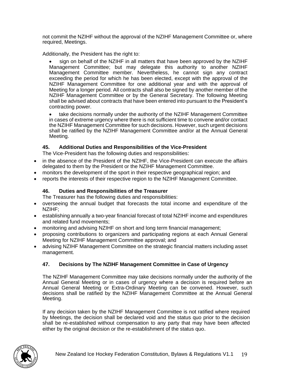not commit the NZIHF without the approval of the NZIHF Management Committee or, where required, Meetings.

Additionally, the President has the right to:

• sign on behalf of the NZIHF in all matters that have been approved by the NZIHF Management Committee; but may delegate this authority to another NZIHF Management Committee member. Nevertheless, he cannot sign any contract exceeding the period for which he has been elected, except with the approval of the NZIHF Management Committee for one additional year and with the approval of Meeting for a longer period. All contracts shall also be signed by another member of the NZIHF Management Committee or by the General Secretary. The following Meeting shall be advised about contracts that have been entered into pursuant to the President's contracting power.

take decisions normally under the authority of the NZIHF Management Committee in cases of extreme urgency where there is not sufficient time to convene and/or contact the NZIHF Management Committee for such decisions. However, such urgent decisions shall be ratified by the NZIHF Management Committee and/or at the Annual General Meeting.

## **45. Additional Duties and Responsibilities of the Vice-President**

The Vice-President has the following duties and responsibilities:

- in the absence of the President of the NZIHF, the Vice-President can execute the affairs delegated to them by the President or the NZIHF Management Committee.
- monitors the development of the sport in their respective geographical region; and
- reports the interests of their respective region to the NZIHF Management Committee.

## **46. Duties and Responsibilities of the Treasurer**

The Treasurer has the following duties and responsibilities:

- overseeing the annual budget that forecasts the total income and expenditure of the NZIHF;
- establishing annually a two-year financial forecast of total NZIHF income and expenditures and related fund movements;
- monitoring and advising NZIHF on short and long term financial management;
- proposing contributions to organizers and participating regions at each Annual General Meeting for NZIHF Management Committee approval; and
- advising NZIHF Management Committee on the strategic financial matters including asset management.

## **47. Decisions by The NZIHF Management Committee in Case of Urgency**

The NZIHF Management Committee may take decisions normally under the authority of the Annual General Meeting or in cases of urgency where a decision is required before an Annual General Meeting or Extra-Ordinary Meeting can be convened. However, such decisions shall be ratified by the NZIHF Management Committee at the Annual General Meeting.

If any decision taken by the NZIHF Management Committee is not ratified where required by Meetings, the decision shall be declared void and the status quo prior to the decision shall be re-established without compensation to any party that may have been affected either by the original decision or the re-establishment of the status quo.

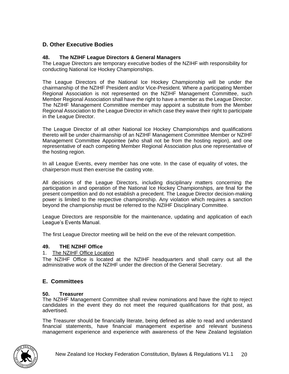## **D. Other Executive Bodies**

## **48. The NZIHF League Directors & General Managers**

The League Directors are temporary executive bodies of the NZIHF with responsibility for conducting National Ice Hockey Championships.

The League Directors of the National Ice Hockey Championship will be under the chairmanship of the NZIHF President and/or Vice-President. Where a participating Member Regional Association is not represented on the NZIHF Management Committee, such Member Regional Association shall have the right to have a member as the League Director. The NZIHF Management Committee member may appoint a substitute from the Member Regional Association to the League Director in which case they waive their right to participate in the League Director.

The League Director of all other National Ice Hockey Championships and qualifications thereto will be under chairmanship of an NZIHF Management Committee Member or NZIHF Management Committee Appointee (who shall not be from the hosting region), and one representative of each competing Member Regional Association plus one representative of the hosting region.

In all League Events, every member has one vote. In the case of equality of votes, the chairperson must then exercise the casting vote.

All decisions of the League Directors, including disciplinary matters concerning the participation in and operation of the National Ice Hockey Championships, are final for the present competition and do not establish a precedent. The League Director decision-making power is limited to the respective championship. Any violation which requires a sanction beyond the championship must be referred to the NZIHF Disciplinary Committee.

League Directors are responsible for the maintenance, updating and application of each League's Events Manual.

The first League Director meeting will be held on the eve of the relevant competition.

## **49. THE NZIHF Office**

#### 1. The NZIHF Office Location

The NZIHF Office is located at the NZIHF headquarters and shall carry out all the administrative work of the NZIHF under the direction of the General Secretary.

## **E. Committees**

#### **50. Treasurer**

The NZIHF Management Committee shall review nominations and have the right to reject candidates in the event they do not meet the required qualifications for that post, as advertised.

The Treasurer should be financially literate, being defined as able to read and understand financial statements, have financial management expertise and relevant business management experience and experience with awareness of the New Zealand legislation

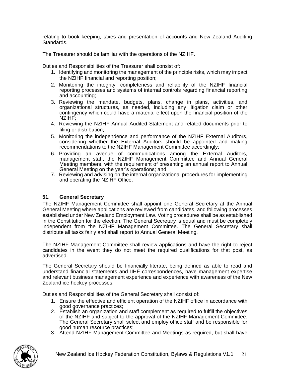relating to book keeping, taxes and presentation of accounts and New Zealand Auditing Standards.

The Treasurer should be familiar with the operations of the NZIHF.

Duties and Responsibilities of the Treasurer shall consist of:

- 1. Identifying and monitoring the management of the principle risks, which may impact the NZIHF financial and reporting position;
- 2. Monitoring the integrity, completeness and reliability of the NZIHF financial reporting processes and systems of internal controls regarding financial reporting and accounting;
- 3. Reviewing the mandate, budgets, plans, change in plans, activities, and organizational structures, as needed, including any litigation claim or other contingency which could have a material effect upon the financial position of the NZIHF;
- 4. Reviewing the NZIHF Annual Audited Statement and related documents prior to filing or distribution;
- 5. Monitoring the independence and performance of the NZIHF External Auditors, considering whether the External Auditors should be appointed and making recommendations to the NZIHF Management Committee accordingly;
- 6. Providing an avenue of communications among the External Auditors, management staff, the NZIHF Management Committee and Annual General Meeting members, with the requirement of presenting an annual report to Annual General Meeting on the year's operations; and
- 7. Reviewing and advising on the internal organizational procedures for implementing and operating the NZIHF Office.

#### **51. General Secretary**

The NZIHF Management Committee shall appoint one General Secretary at the Annual General Meeting where applications are reviewed from candidates, and following processes established under New Zealand Employment Law. Voting procedures shall be as established in the Constitution for the election. The General Secretary is equal and must be completely independent from the NZIHF Management Committee. The General Secretary shall distribute all tasks fairly and shall report to Annual General Meeting.

The NZIHF Management Committee shall review applications and have the right to reject candidates in the event they do not meet the required qualifications for that post, as advertised.

The General Secretary should be financially literate, being defined as able to read and understand financial statements and IIHF correspondences, have management expertise and relevant business management experience and experience with awareness of the New Zealand ice hockey processes.

Duties and Responsibilities of the General Secretary shall consist of:

- 1. Ensure the effective and efficient operation of the NZIHF office in accordance with good governance practices;
- 2. Establish an organization and staff complement as required to fulfill the objectives of the NZIHF and subject to the approval of the NZIHF Management Committee. The General Secretary shall select and employ office staff and be responsible for good human resource practices;
- 3. Attend NZIHF Management Committee and Meetings as required, but shall have

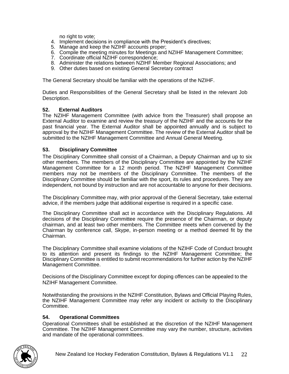no right to vote;

- 4. Implement decisions in compliance with the President's directives;
- 5. Manage and keep the NZIHF accounts proper;
- 6. Compile the meeting minutes for Meetings and NZIHF Management Committee;
- 7. Coordinate official NZIHF correspondence;
- 8. Administer the relations between NZIHF Member Regional Associations; and
- 9. Other duties based on existing General Secretary contract

The General Secretary should be familiar with the operations of the NZIHF.

Duties and Responsibilities of the General Secretary shall be listed in the relevant Job Description.

#### **52. External Auditors**

The NZIHF Management Committee (with advice from the Treasurer) shall propose an External Auditor to examine and review the treasury of the NZIHF and the accounts for the past financial year. The External Auditor shall be appointed annually and is subject to approval by the NZIHF Management Committee. The review of the External Auditor shall be submitted to the NZIHF Management Committee and Annual General Meeting.

#### **53. Disciplinary Committee**

The Disciplinary Committee shall consist of a Chairman, a Deputy Chairman and up to six other members. The members of the Disciplinary Committee are appointed by the NZIHF Management Committee for a 12 month period. The NZIHF Management Committee members may not be members of the Disciplinary Committee. The members of the Disciplinary Committee should be familiar with the sport, its rules and procedures. They are independent, not bound by instruction and are not accountable to anyone for their decisions.

The Disciplinary Committee may, with prior approval of the General Secretary, take external advice, if the members judge that additional expertise is required in a specific case.

The Disciplinary Committee shall act in accordance with the Disciplinary Regulations. All decisions of the Disciplinary Committee require the presence of the Chairman, or deputy chairman, and at least two other members. The Committee meets when convened by the Chairman by conference call, Skype, in-person meeting or a method deemed fit by the Chairman.

The Disciplinary Committee shall examine violations of the NZIHF Code of Conduct brought to its attention and present its findings to the NZIHF Management Committee; the Disciplinary Committee is entitled to submit recommendations for further action by the NZIHF Management Committee.

Decisions of the Disciplinary Committee except for doping offences can be appealed to the NZIHF Management Committee.

Notwithstanding the provisions in the NZIHF Constitution, Bylaws and Official Playing Rules, the NZIHF Management Committee may refer any incident or activity to the Disciplinary Committee.

#### **54. Operational Committees**

Operational Committees shall be established at the discretion of the NZIHF Management Committee. The NZIHF Management Committee may vary the number, structure, activities and mandate of the operational committees.

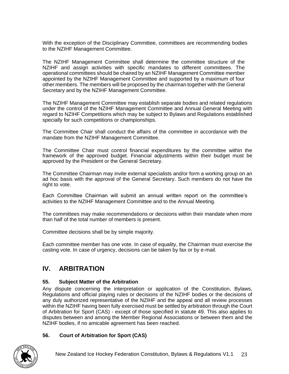With the exception of the Disciplinary Committee, committees are recommending bodies to the NZIHF Management Committee.

The NZIHF Management Committee shall determine the committee structure of the NZIHF and assign activities with specific mandates to different committees. The operational committees should be chaired by an NZIHF Management Committee member appointed by the NZIHF Management Committee and supported by a maximum of four other members. The members will be proposed by the chairman together with the General Secretary and by the NZIHF Management Committee.

The NZIHF Management Committee may establish separate bodies and related regulations under the control of the NZIHF Management Committee and Annual General Meeting with regard to NZIHF Competitions which may be subject to Bylaws and Regulations established specially for such competitions or championships.

The Committee Chair shall conduct the affairs of the committee in accordance with the mandate from the NZIHF Management Committee.

The Committee Chair must control financial expenditures by the committee within the framework of the approved budget. Financial adjustments within their budget must be approved by the President or the General Secretary.

The Committee Chairman may invite external specialists and/or form a working group on an ad hoc basis with the approval of the General Secretary. Such members do not have the right to vote.

Each Committee Chairman will submit an annual written report on the committee's activities to the NZIHF Management Committee and to the Annual Meeting.

The committees may make recommendations or decisions within their mandate when more than half of the total number of members is present.

Committee decisions shall be by simple majority.

Each committee member has one vote. In case of equality, the Chairman must exercise the casting vote. In case of urgency, decisions can be taken by fax or by e-mail.

# **IV. ARBITRATION**

#### **55. Subject Matter of the Arbitration**

Any dispute concerning the interpretation or application of the Constitution, Bylaws, Regulations and official playing rules or decisions of the NZIHF bodies or the decisions of any duly authorized representative of the NZIHF and the appeal and all review processes within the NZIHF having been fully exercised must be settled by arbitration through the Court of Arbitration for Sport (CAS) - except of those specified in statute 49. This also applies to disputes between and among the Member Regional Associations or between them and the NZIHF bodies, if no amicable agreement has been reached.

## **56. Court of Arbitration for Sport (CAS)**

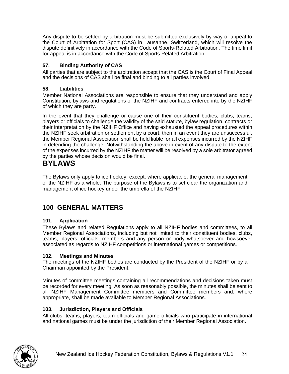Any dispute to be settled by arbitration must be submitted exclusively by way of appeal to the Court of Arbitration for Sport (CAS) in Lausanne, Switzerland, which will resolve the dispute definitively in accordance with the Code of Sports-Related Arbitration. The time limit for appeal is in accordance with the Code of Sports Related Arbitration.

## **57. Binding Authority of CAS**

All parties that are subject to the arbitration accept that the CAS is the Court of Final Appeal and the decisions of CAS shall be final and binding to all parties involved.

### **58. Liabilities**

Member National Associations are responsible to ensure that they understand and apply Constitution, bylaws and regulations of the NZIHF and contracts entered into by the NZIHF of which they are party.

In the event that they challenge or cause one of their constituent bodies, clubs, teams, players or officials to challenge the validity of the said statute, bylaw regulation, contracts or their interpretation by the NZIHF Office and having exhausted the appeal procedures within the NZIHF seek arbitration or settlement by a court, then in an event they are unsuccessful, the Member Regional Association shall be held liable for all expenses incurred by the NZIHF in defending the challenge. Notwithstanding the above in event of any dispute to the extent of the expenses incurred by the NZIHF the matter will be resolved by a sole arbitrator agreed by the parties whose decision would be final.

# **BYLAWS**

The Bylaws only apply to ice hockey, except, where applicable, the general management of the NZIHF as a whole. The purpose of the Bylaws is to set clear the organization and management of ice hockey under the umbrella of the NZIHF.

# **100 GENERAL MATTERS**

## **101. Application**

These Bylaws and related Regulations apply to all NZIHF bodies and committees, to all Member Regional Associations, including but not limited to their constituent bodies, clubs, teams, players, officials, members and any person or body whatsoever and howsoever associated as regards to NZIHF competitions or international games or competitions.

#### **102. Meetings and Minutes**

The meetings of the NZIHF bodies are conducted by the President of the NZIHF or by a Chairman appointed by the President.

Minutes of committee meetings containing all recommendations and decisions taken must be recorded for every meeting. As soon as reasonably possible, the minutes shall be sent to all NZIHF Management Committee members and Committee members and, where appropriate, shall be made available to Member Regional Associations.

## **103. Jurisdiction, Players and Officials**

All clubs, teams, players, team officials and game officials who participate in international and national games must be under the jurisdiction of their Member Regional Association.

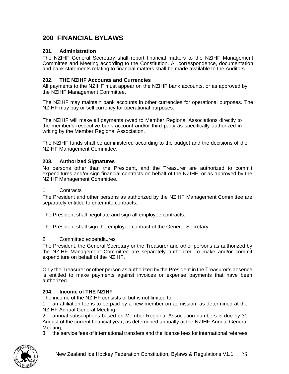# **200 FINANCIAL BYLAWS**

#### **201. Administration**

The NZIHF General Secretary shall report financial matters to the NZIHF Management Committee and Meeting according to the Constitution. All correspondence, documentation and bank statements relating to financial matters shall be made available to the Auditors.

#### **202. THE NZIHF Accounts and Currencies**

All payments to the NZIHF must appear on the NZIHF bank accounts, or as approved by the NZIHF Management Committee.

The NZIHF may maintain bank accounts in other currencies for operational purposes. The NZIHF may buy or sell currency for operational purposes.

The NZIHF will make all payments owed to Member Regional Associations directly to the member's respective bank account and/or third party as specifically authorized in writing by the Member Regional Association.

The NZIHF funds shall be administered according to the budget and the decisions of the NZIHF Management Committee.

#### **203. Authorized Signatures**

No persons other than the President, and the Treasurer are authorized to commit expenditures and/or sign financial contracts on behalf of the NZIHF, or as approved by the NZIHF Management Committee.

#### 1. Contracts

The President and other persons as authorized by the NZIHF Management Committee are separately entitled to enter into contracts.

The President shall negotiate and sign all employee contracts.

The President shall sign the employee contract of the General Secretary.

#### 2. Committed expenditures

The President, the General Secretary or the Treasurer and other persons as authorized by the NZIHF Management Committee are separately authorized to make and/or commit expenditure on behalf of the NZIHF.

Only the Treasurer or other person as authorized by the President in the Treasurer's absence is entitled to make payments against invoices or expense payments that have been authorized.

#### **204. Income of THE NZIHF**

The income of the NZIHF consists of but is not limited to:

1. an affiliation fee is to be paid by a new member on admission, as determined at the NZIHF Annual General Meeting;

2. annual subscriptions based on Member Regional Association numbers is due by 31 August of the current financial year, as determined annually at the NZIHF Annual General Meeting;

3. the service fees of international transfers and the license fees for international referees

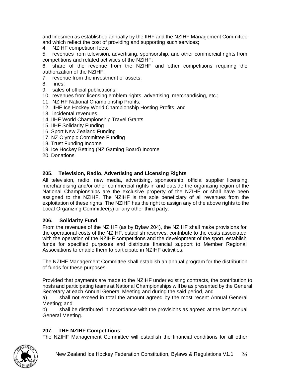and linesmen as established annually by the IIHF and the NZIHF Management Committee and which reflect the cost of providing and supporting such services;

4. NZIHF competition fees;

5. revenues from television, advertising, sponsorship, and other commercial rights from competitions and related activities of the NZIHF;

6. share of the revenue from the NZIHF and other competitions requiring the authorization of the NZIHF;

7. revenue from the investment of assets;

8. fines;

- 9. sales of official publications;
- 10. revenues from licensing emblem rights, advertising, merchandising, etc.;
- 11. NZIHF National Championship Profits;
- 12. IIHF Ice Hockey World Championship Hosting Profits; and
- 13. incidental revenues.
- 14. IIHF World Championship Travel Grants
- 15. IIHF Solidarity Funding
- 16. Sport New Zealand Funding
- 17. NZ Olympic Committee Funding
- 18. Trust Funding Income
- 19. Ice Hockey Betting (NZ Gaming Board) Income
- 20. Donations

#### **205. Television, Radio, Advertising and Licensing Rights**

All television, radio, new media, advertising, sponsorship, official supplier licensing, merchandising and/or other commercial rights in and outside the organizing region of the National Championships are the exclusive property of the NZIHF or shall have been assigned to the NZIHF. The NZIHF is the sole beneficiary of all revenues from the exploitation of these rights. The NZIHF has the right to assign any of the above rights to the Local Organizing Committee(s) or any other third party.

#### **206. Solidarity Fund**

From the revenues of the NZIHF (as by Bylaw 204), the NZIHF shall make provisions for the operational costs of the NZIHF, establish reserves, contribute to the costs associated with the operation of the NZIHF competitions and the development of the sport, establish funds for specified purposes and distribute financial support to Member Regional Associations to enable them to participate in NZIHF activities.

The NZIHF Management Committee shall establish an annual program for the distribution of funds for these purposes.

Provided that payments are made to the NZIHF under existing contracts, the contribution to hosts and participating teams at National Championships will be as presented by the General Secretary at each Annual General Meeting and during the said period, and

a) shall not exceed in total the amount agreed by the most recent Annual General Meeting; and

b) shall be distributed in accordance with the provisions as agreed at the last Annual General Meeting.

## **207. THE NZIHF Competitions**

The NZIHF Management Committee will establish the financial conditions for all other

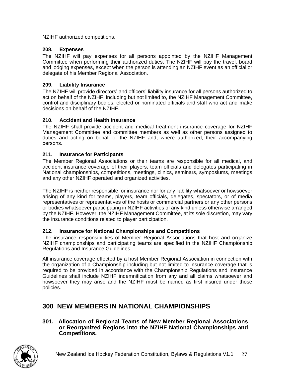NZIHF authorized competitions.

## **208. Expenses**

The NZIHF will pay expenses for all persons appointed by the NZIHF Management Committee when performing their authorized duties. The NZIHF will pay the travel, board and lodging expenses, except when the person is attending an NZIHF event as an official or delegate of his Member Regional Association.

## **209. Liability Insurance**

The NZIHF will provide directors' and officers' liability insurance for all persons authorized to act on behalf of the NZIHF, including but not limited to, the NZIHF Management Committee, control and disciplinary bodies, elected or nominated officials and staff who act and make decisions on behalf of the NZIHF.

## **210. Accident and Health Insurance**

The NZIHF shall provide accident and medical treatment insurance coverage for NZIHF Management Committee and committee members as well as other persons assigned to duties and acting on behalf of the NZIHF and, where authorized, their accompanying persons.

## **211. Insurance for Participants**

The Member Regional Associations or their teams are responsible for all medical, and accident insurance coverage of their players, team officials and delegates participating in National championships, competitions, meetings, clinics, seminars, symposiums, meetings and any other NZIHF operated and organized activities.

The NZIHF is neither responsible for insurance nor for any liability whatsoever or howsoever arising of any kind for teams, players, team officials, delegates, spectators, or of media representatives or representatives of the hosts or commercial partners or any other persons or bodies whatsoever participating in NZIHF activities of any kind unless otherwise arranged by the NZIHF. However, the NZIHF Management Committee, at its sole discretion, may vary the insurance conditions related to player participation.

## **212. Insurance for National Championships and Competitions**

The insurance responsibilities of Member Regional Associations that host and organize NZIHF championships and participating teams are specified in the NZIHF Championship Regulations and Insurance Guidelines.

All insurance coverage effected by a host Member Regional Association in connection with the organization of a Championship including but not limited to insurance coverage that is required to be provided in accordance with the Championship Regulations and Insurance Guidelines shall include NZIHF indemnification from any and all claims whatsoever and howsoever they may arise and the NZIHF must be named as first insured under those policies.

# **300 NEW MEMBERS IN NATIONAL CHAMPIONSHIPS**

#### **301. Allocation of Regional Teams of New Member Regional Associations or Reorganized Regions into the NZIHF National Championships and Competitions.**

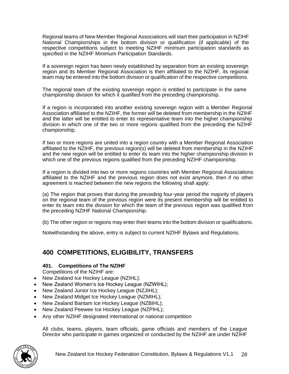Regional teams of New Member Regional Associations will start their participation in NZIHF National Championships in the bottom division or qualification (if applicable) of the respective competitions subject to meeting NZIHF minimum participation standards as specified in the NZIHF Minimum Participation Standards.

If a sovereign region has been newly established by separation from an existing sovereign region and its Member Regional Association is then affiliated to the NZIHF, its regional team may be entered into the bottom division or qualification of the respective competitions.

The regional team of the existing sovereign region is entitled to participate in the same championship division for which it qualified from the preceding championship.

If a region is incorporated into another existing sovereign region with a Member Regional Association affiliated to the NZIHF, the former will be deleted from membership in the NZIHF and the latter will be entitled to enter its representative team into the higher championship division in which one of the two or more regions qualified from the preceding the NZIHF championship.

If two or more regions are united into a region country with a Member Regional Association affiliated to the NZIHF, the previous region(s) will be deleted from membership in the NZIHF and the new region will be entitled to enter its team into the higher championship division in which one of the previous regions qualified from the preceding NZIHF championship.

If a region is divided into two or more regions countries with Member Regional Associations affiliated to the NZIHF and the previous region does not exist anymore, then if no other agreement is reached between the new regions the following shall apply:

(a) The region that proves that during the preceding four-year period the majority of players on the regional team of the previous region were its present membership will be entitled to enter its team into the division for which the team of the previous region was qualified from the preceding NZIHF National Championship.

(b) The other region or regions may enter their teams into the bottom division or qualifications.

Notwithstanding the above, entry is subject to current NZIHF Bylaws and Regulations.

# **400 COMPETITIONS, ELIGIBILITY, TRANSFERS**

#### **401. Competitions of The NZIHF**

Competitions of the NZIHF are:

- New Zealand Ice Hockey League (NZIHL);
- New Zealand Women's Ice Hockey League (NZWIHL);
- New Zealand Junior Ice Hockey League (NZJIHL);
- New Zealand Midget Ice Hockey League (NZMIHL);
- New Zealand Bantam Ice Hockey League (NZBIHL);
- New Zealand Peewee Ice Hockey League (NZPIHL);
- Any other NZIHF designated international or national competition

All clubs, teams, players, team officials, game officials and members of the League Director who participate in games organized or conducted by the NZIHF are under NZIHF

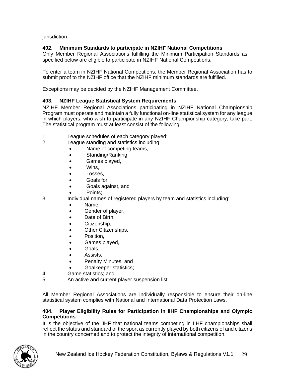jurisdiction.

## **402. Minimum Standards to participate in NZIHF National Competitions**

Only Member Regional Associations fulfilling the Minimum Participation Standards as specified below are eligible to participate in NZIHF National Competitions.

To enter a team in NZIHF National Competitions, the Member Regional Association has to submit proof to the NZIHF office that the NZIHF minimum standards are fulfilled.

Exceptions may be decided by the NZIHF Management Committee.

## **403. NZIHF League Statistical System Requirements**

NZIHF Member Regional Associations participating in NZIHF National Championship Program must operate and maintain a fully functional on-line statistical system for any league in which players, who wish to participate in any NZIHF Championship category, take part. The statistical program must at least consist of the following:

- 1. League schedules of each category played;
- 2. League standing and statistics including:
	- Name of competing teams,
	- Standing/Ranking,
	- Games played,
	- Wins,
	- Losses,
	- Goals for,
	- Goals against, and
	- Points;
- 3. Individual names of registered players by team and statistics including:
	- Name,
	- Gender of player,
	- Date of Birth,
	- Citizenship,
	- Other Citizenships,
	- Position,
	- Games played,
	- Goals,
	- Assists,
	- Penalty Minutes, and
	- Goalkeeper statistics;
- 4. Game statistics; and
- 5. An active and current player suspension list.

All Member Regional Associations are individually responsible to ensure their on-line statistical system complies with National and International Data Protection Laws.

#### **404. Player Eligibility Rules for Participation in IIHF Championships and Olympic Competitions**

It is the objective of the IIHF that national teams competing in IIHF championships shall reflect the status and standard of the sport as currently played by both citizens of and citizens in the country concerned and to protect the integrity of international competition.

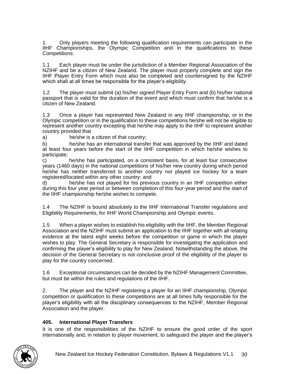1. Only players meeting the following qualification requirements can participate in the IIHF Championships, the Olympic Competition and in the qualifications to these Competitions:

1.1 Each player must be under the jurisdiction of a Member Regional Association of the NZIHF and be a citizen of New Zealand. The player must properly complete and sign the IIHF Player Entry Form which must also be completed and countersigned by the NZIHF which shall at all times be responsible for the player's eligibility.

1.2 The player must submit (a) his/her signed Player Entry Form and (b) his/her national passport that is valid for the duration of the event and which must confirm that he/she is a citizen of New Zealand.

1.3 Once a player has represented New Zealand in any IIHF championship, or in the Olympic competition or in the qualification to these competitions he/she will not be eligible to represent another country excepting that he/she may apply to the IIHF to represent another country provided that

a) he/she is a citizen of that country;

b) he/she has an international transfer that was approved by the IIHF and dated at least four years before the start of the IIHF competition in which he/she wishes to participate;

c) he/she has participated, on a consistent basis, for at least four consecutive years (1460 days) in the national competitions of his/her new country during which period he/she has neither transferred to another country nor played ice hockey for a team registered/located within any other country: and

d) he/she has not played for his previous country in an IIHF competition either during this four year period or between completion of this four-year period and the start of the IIHF championship he/she wishes to compete.

1.4 The NZIHF is bound absolutely to the IIHF International Transfer regulations and Eligibility Requirements, for IIHF World Championship and Olympic events.

1.5 When a player wishes to establish his eligibility with the IIHF, the Member Regional Association and the NZIHF must submit an application to the IIHF together with all relating evidence at the latest eight weeks before the competition or game in which the player wishes to play. The General Secretary is responsible for investigating the application and confirming the player's eligibility to play for New Zealand. Notwithstanding the above, the decision of the General Secretary is not conclusive proof of the eligibility of the player to play for the country concerned.

1.6 Exceptional circumstances can be decided by the NZIHF Management Committee, but must be within the rules and regulations of the IIHF.

2. The player and the NZIHF registering a player for an IIHF championship, Olympic competition or qualification to these competitions are at all times fully responsible for the player's eligibility with all the disciplinary consequences to the NZIHF, Member Regional Association and the player.

## **405. International Player Transfers**

It is one of the responsibilities of the NZIHF to ensure the good order of the sport internationally and, in relation to player movement, to safeguard the player and the player's

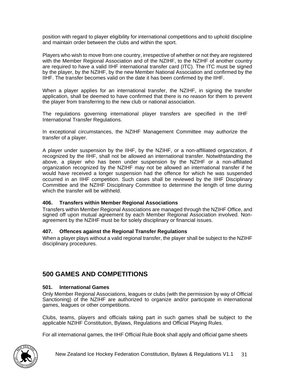position with regard to player eligibility for international competitions and to uphold discipline and maintain order between the clubs and within the sport.

Players who wish to move from one country, irrespective of whether or not they are registered with the Member Regional Association and of the NZIHF, to the NZIHF of another country are required to have a valid IIHF international transfer card (ITC). The ITC must be signed by the player, by the NZIHF, by the new Member National Association and confirmed by the IIHF. The transfer becomes valid on the date it has been confirmed by the IIHF.

When a player applies for an international transfer, the NZIHF, in signing the transfer application, shall be deemed to have confirmed that there is no reason for them to prevent the player from transferring to the new club or national association.

The regulations governing international player transfers are specified in the IIHF International Transfer Regulations.

In exceptional circumstances, the NZIHF Management Committee may authorize the transfer of a player.

A player under suspension by the IIHF, by the NZIHF, or a non-affiliated organization, if recognized by the IIHF, shall not be allowed an international transfer. Notwithstanding the above, a player who has been under suspension by the NZIHF or a non-affiliated organization recognized by the NZIHF may not be allowed an international transfer if he would have received a longer suspension had the offence for which he was suspended occurred in an IIHF competition. Such cases shall be reviewed by the IIHF Disciplinary Committee and the NZIHF Disciplinary Committee to determine the length of time during which the transfer will be withheld.

#### **406. Transfers within Member Regional Associations**

Transfers within Member Regional Associations are managed through the NZIHF Office, and signed off upon mutual agreement by each Member Regional Association involved. Nonagreement by the NZIHF must be for solely disciplinary or financial issues.

#### **407. Offences against the Regional Transfer Regulations**

When a player plays without a valid regional transfer, the player shall be subject to the NZIHF disciplinary procedures.

# **500 GAMES AND COMPETITIONS**

#### **501. International Games**

Only Member Regional Associations, leagues or clubs (with the permission by way of Official Sanctioning) of the NZIHF are authorized to organize and/or participate in international games, leagues or other competitions.

Clubs, teams, players and officials taking part in such games shall be subject to the applicable NZIHF Constitution, Bylaws, Regulations and Official Playing Rules.

For all international games, the IIHF Official Rule Book shall apply and official game sheets

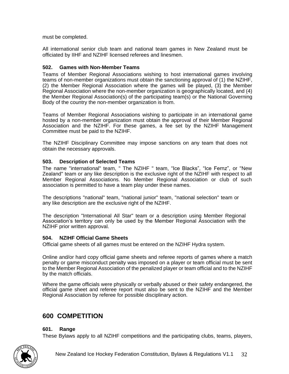must be completed.

All international senior club team and national team games in New Zealand must be officiated by IIHF and NZIHF licensed referees and linesmen.

#### **502. Games with Non-Member Teams**

Teams of Member Regional Associations wishing to host international games involving teams of non-member organizations must obtain the sanctioning approval of (1) the NZIHF, (2) the Member Regional Association where the games will be played, (3) the Member Regional Association where the non-member organization is geographically located, and (4) the Member Regional Association(s) of the participating team(s) or the National Governing Body of the country the non-member organization is from.

Teams of Member Regional Associations wishing to participate in an international game hosted by a non-member organization must obtain the approval of their Member Regional Association and the NZIHF. For these games, a fee set by the NZIHF Management Committee must be paid to the NZIHF.

The NZIHF Disciplinary Committee may impose sanctions on any team that does not obtain the necessary approvals.

#### **503. Description of Selected Teams**

The name "international" team, " The NZIHF " team, "Ice Blacks", "Ice Fernz", or "New Zealand" team or any like description is the exclusive right of the NZIHF with respect to all Member Regional Associations. No Member Regional Association or club of such association is permitted to have a team play under these names.

The descriptions "national" team, "national junior" team, "national selection" team or any like description are the exclusive right of the NZIHF.

The description "International All Star" team or a description using Member Regional Association's territory can only be used by the Member Regional Association with the NZIHF prior written approval.

#### **504. NZIHF Official Game Sheets**

Official game sheets of all games must be entered on the NZIHF Hydra system.

Online and/or hard copy official game sheets and referee reports of games where a match penalty or game misconduct penalty was imposed on a player or team official must be sent to the Member Regional Association of the penalized player or team official and to the NZIHF by the match officials.

Where the game officials were physically or verbally abused or their safety endangered, the official game sheet and referee report must also be sent to the NZIHF and the Member Regional Association by referee for possible disciplinary action.

## **600 COMPETITION**

#### **601. Range**

These Bylaws apply to all NZIHF competitions and the participating clubs, teams, players,

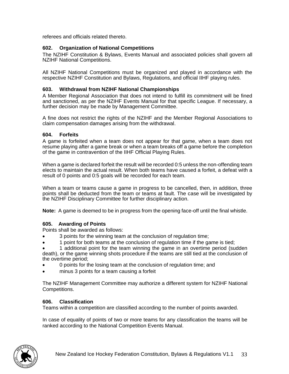referees and officials related thereto.

#### **602. Organization of National Competitions**

The NZIHF Constitution & Bylaws, Events Manual and associated policies shall govern all NZIHF National Competitions.

All NZIHF National Competitions must be organized and played in accordance with the respective NZIHF Constitution and Bylaws, Regulations, and official IIHF playing rules.

#### **603. Withdrawal from NZIHF National Championships**

A Member Regional Association that does not intend to fulfill its commitment will be fined and sanctioned, as per the NZIHF Events Manual for that specific League. If necessary, a further decision may be made by Management Committee.

A fine does not restrict the rights of the NZIHF and the Member Regional Associations to claim compensation damages arising from the withdrawal.

#### **604. Forfeits**

A game is forfeited when a team does not appear for that game, when a team does not resume playing after a game break or when a team breaks off a game before the completion of the game in contravention of the IIHF Official Playing Rules.

When a game is declared forfeit the result will be recorded 0:5 unless the non-offending team elects to maintain the actual result. When both teams have caused a forfeit, a defeat with a result of 0 points and 0:5 goals will be recorded for each team.

When a team or teams cause a game in progress to be cancelled, then, in addition, three points shall be deducted from the team or teams at fault. The case will be investigated by the NZIHF Disciplinary Committee for further disciplinary action.

**Note:** A game is deemed to be in progress from the opening face-off until the final whistle.

#### **605. Awarding of Points**

Points shall be awarded as follows:

- 3 points for the winning team at the conclusion of regulation time;
- 1 point for both teams at the conclusion of regulation time if the game is tied;
- 1 additional point for the team winning the game in an overtime period (sudden death), or the game winning shots procedure if the teams are still tied at the conclusion of the overtime period;
- 0 points for the losing team at the conclusion of regulation time; and
- minus 3 points for a team causing a forfeit

The NZIHF Management Committee may authorize a different system for NZIHF National Competitions.

#### **606. Classification**

Teams within a competition are classified according to the number of points awarded.

In case of equality of points of two or more teams for any classification the teams will be ranked according to the National Competition Events Manual.

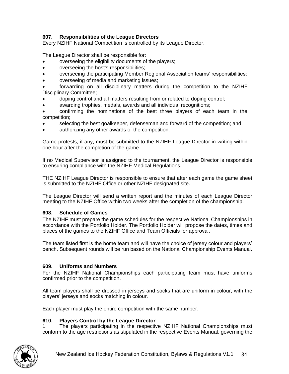## **607. Responsibilities of the League Directors**

Every NZIHF National Competition is controlled by its League Director.

The League Director shall be responsible for:

- overseeing the eligibility documents of the players;
- overseeing the host's responsibilities;
- overseeing the participating Member Regional Association teams' responsibilities;
- overseeing of media and marketing issues;

• forwarding on all disciplinary matters during the competition to the NZIHF Disciplinary Committee;

- doping control and all matters resulting from or related to doping control;
- awarding trophies, medals, awards and all individual recognitions;

• confirming the nominations of the best three players of each team in the competition;

- selecting the best goalkeeper, defenseman and forward of the competition; and
- authorizing any other awards of the competition.

Game protests, if any, must be submitted to the NZIHF League Director in writing within one hour after the completion of the game.

If no Medical Supervisor is assigned to the tournament, the League Director is responsible to ensuring compliance with the NZIHF Medical Regulations.

THE NZIHF League Director is responsible to ensure that after each game the game sheet is submitted to the NZIHF Office or other NZIHF designated site.

The League Director will send a written report and the minutes of each League Director meeting to the NZIHF Office within two weeks after the completion of the championship.

#### **608. Schedule of Games**

The NZIHF must prepare the game schedules for the respective National Championships in accordance with the Portfolio Holder. The Portfolio Holder will propose the dates, times and places of the games to the NZIHF Office and Team Officials for approval.

The team listed first is the home team and will have the choice of jersey colour and players' bench. Subsequent rounds will be run based on the National Championship Events Manual.

#### **609. Uniforms and Numbers**

For the NZIHF National Championships each participating team must have uniforms confirmed prior to the competition.

All team players shall be dressed in jerseys and socks that are uniform in colour, with the players' jerseys and socks matching in colour.

Each player must play the entire competition with the same number.

#### **610. Players Control by the League Director**

1. The players participating in the respective NZIHF National Championships must conform to the age restrictions as stipulated in the respective Events Manual, governing the

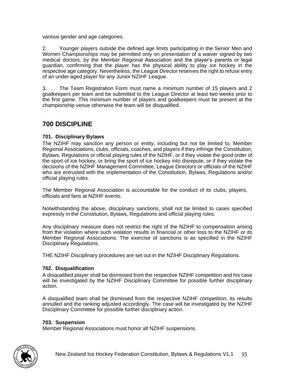various gender and age categories.

2. Younger players outside the defined age limits participating in the Senior Men and Women Championships may be permitted only on presentation of a waiver signed by two medical doctors, by the Member Regional Association and the player's parents or legal guardian, confirming that the player has the physical ability to play ice hockey in the respective age category. Nevertheless, the League Director reserves the right to refuse entry of an under-aged player for any Junior NZIHF League.

3. The Team Registration Form must name a minimum number of 15 players and 2 goalkeepers per team and be submitted to the League Director at least two weeks prior to the first game. This minimum number of players and goalkeepers must be present at the championship venue otherwise the team will be disqualified.

# **700 DISCIPLINE**

#### **701. Disciplinary Bylaws**

The NZIHF may sanction any person or entity, including but not be limited to, Member Regional Associations, clubs, officials, coaches, and players if they infringe the Constitution, Bylaws, Regulations or official playing rules of the NZIHF, or if they violate the good order of the sport of ice hockey, or bring the sport of ice hockey into disrepute, or if they violate the decisions of the NZIHF Management Committee, League Directors or officials of the NZIHF who are entrusted with the implementation of the Constitution, Bylaws, Regulations and/or official playing rules.

The Member Regional Association is accountable for the conduct of its clubs, players, officials and fans at NZIHF events.

Notwithstanding the above, disciplinary sanctions, shall not be limited to cases specified expressly in the Constitution, Bylaws, Regulations and official playing rules.

Any disciplinary measure does not restrict the right of the NZIHF to compensation arising from the violation where such violation results in financial or other loss to the NZIHF or its Member Regional Associations. The exercise of sanctions is as specified in the NZIHF Disciplinary Regulations.

THE NZIHF Disciplinary procedures are set out in the NZIHF Disciplinary Regulations.

#### **702. Disqualification**

A disqualified player shall be dismissed from the respective NZIHF competition and his case will be investigated by the NZIHF Disciplinary Committee for possible further disciplinary action.

A disqualified team shall be dismissed from the respective NZIHF competition, its results annulled and the ranking adjusted accordingly. The case will be investigated by the NZIHF Disciplinary Committee for possible further disciplinary action.

#### **703. Suspension**

Member Regional Associations must honor all NZIHF suspensions.

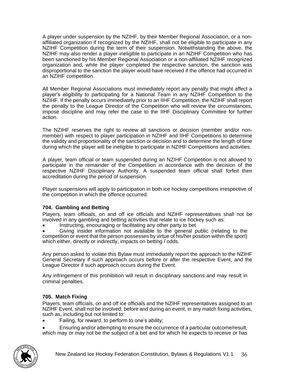A player under suspension by the NZIHF, by their Member Regional Association, or a nonaffiliated organization if recognized by the NZIHF, shall not be eligible to participate in any NZIHF Competition during the term of their suspension. Notwithstanding the above, the NZIHF may also render a player ineligible to participate in an NZIHF Competition who has been sanctioned by his Member Regional Association or a non-affiliated NZIHF recognized organization and, while the player completed the respective sanction, the sanction was disproportional to the sanction the player would have received if the offence had occurred in an NZIHF competition.

All Member Regional Associations must immediately report any penalty that might affect a player's eligibility to participating for a National Team in any NZIHF Competition to the NZIHF. If the penalty occurs immediately prior to an IIHF Competition, the NZIHF shall report the penalty to the League Director of the Competition who will review the circumstances, impose discipline and may refer the case to the IIHF Disciplinary Committee for further action.

The NZIHF reserves the right to review all sanctions or decision (member and/or nonmember) with respect to player participation in NZIHF and IIHF Competitions to determine the validity and proportionality of the sanction or decision and to determine the length of time during which the player will be ineligible to participate in NZIHF Competitions and activities.

A player, team official or team suspended during an NZIHF Competition is not allowed to participate in the remainder of the Competition in accordance with the decision of the respective NZIHF Disciplinary Authority. A suspended team official shall forfeit their accreditation during the period of suspension.

Player suspensions will apply to participation in both ice hockey competitions irrespective of the competition in which the offence occurred.

#### **704. Gambling and Betting**

Players, team officials, on and off ice officials and NZIHF representatives shall not be involved in any gambling and betting activities that relate to ice hockey such as:

Instructing, encouraging or facilitating any other party to bet

Giving insider information not available to the general public (relating to the competition or event that the person possesses by virtue of his/her position within the sport) which either, directly or indirectly, impacts on betting / odds.

Any person asked to violate this Bylaw must immediately report the approach to the NZIHF General Secretary if such approach occurs before or after the respective Event, and the League Director if such approach occurs during the Event.

Any infringement of this prohibition will result in disciplinary sanctions and may result in criminal penalties.

#### **705. Match Fixing**

Players, team officials, on and off ice officials and the NZIHF representatives assigned to an NZIHF Event, shall not be involved, before and during an event, in any match fixing activities, such as, including but not limited to:

- Failing, for reward, to perform to one's ability;
- Ensuring and/or attempting to ensure the occurrence of a particular outcome/result, which may or may not be the subject of a bet and for which he expects to receive or has

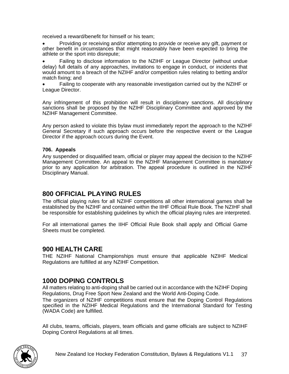received a reward/benefit for himself or his team;

• Providing or receiving and/or attempting to provide or receive any gift, payment or other benefit in circumstances that might reasonably have been expected to bring the athlete or the sport into disrepute;

Failing to disclose information to the NZIHF or League Director (without undue delay) full details of any approaches, invitations to engage in conduct, or incidents that would amount to a breach of the NZIHF and/or competition rules relating to betting and/or match fixing; and

• Failing to cooperate with any reasonable investigation carried out by the NZIHF or League Director.

Any infringement of this prohibition will result in disciplinary sanctions. All disciplinary sanctions shall be proposed by the NZIHF Disciplinary Committee and approved by the NZIHF Management Committee.

Any person asked to violate this bylaw must immediately report the approach to the NZIHF General Secretary if such approach occurs before the respective event or the League Director if the approach occurs during the Event.

#### **706. Appeals**

Any suspended or disqualified team, official or player may appeal the decision to the NZIHF Management Committee. An appeal to the NZIHF Management Committee is mandatory prior to any application for arbitration. The appeal procedure is outlined in the NZIHF Disciplinary Manual.

## **800 OFFICIAL PLAYING RULES**

The official playing rules for all NZIHF competitions all other international games shall be established by the NZIHF and contained within the IIHF Official Rule Book. The NZIHF shall be responsible for establishing guidelines by which the official playing rules are interpreted.

For all international games the IIHF Official Rule Book shall apply and Official Game Sheets must be completed.

## **900 HEALTH CARE**

THE NZIHF National Championships must ensure that applicable NZIHF Medical Regulations are fulfilled at any NZIHF Competition.

## **1000 DOPING CONTROLS**

All matters relating to anti-doping shall be carried out in accordance with the NZIHF Doping Regulations, Drug Free Sport New Zealand and the World Anti-Doping Code.

The organizers of NZIHF competitions must ensure that the Doping Control Regulations specified in the NZIHF Medical Regulations and the International Standard for Testing (WADA Code) are fulfilled.

All clubs, teams, officials, players, team officials and game officials are subject to NZIHF Doping Control Regulations at all times.

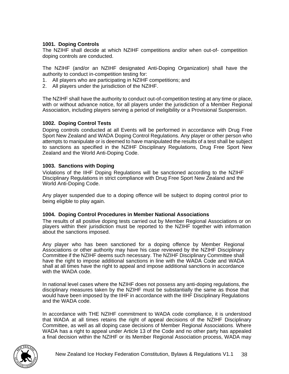#### **1001. Doping Controls**

The NZIHF shall decide at which NZIHF competitions and/or when out-of- competition doping controls are conducted.

The NZIHF (and/or an NZIHF designated Anti-Doping Organization) shall have the authority to conduct in-competition testing for:

- 1. All players who are participating in NZIHF competitions; and
- 2. All players under the jurisdiction of the NZIHF.

The NZIHF shall have the authority to conduct out-of-competition testing at any time or place, with or without advance notice, for all players under the jurisdiction of a Member Regional Association, including players serving a period of ineligibility or a Provisional Suspension.

#### **1002. Doping Control Tests**

Doping controls conducted at all Events will be performed in accordance with Drug Free Sport New Zealand and WADA Doping Control Regulations. Any player or other person who attempts to manipulate or is deemed to have manipulated the results of a test shall be subject to sanctions as specified in the NZIHF Disciplinary Regulations, Drug Free Sport New Zealand and the World Anti-Doping Code.

#### **1003. Sanctions with Doping**

Violations of the IIHF Doping Regulations will be sanctioned according to the NZIHF Disciplinary Regulations in strict compliance with Drug Free Sport New Zealand and the World Anti-Doping Code.

Any player suspended due to a doping offence will be subject to doping control prior to being eligible to play again.

#### **1004. Doping Control Procedures in Member National Associations**

The results of all positive doping tests carried out by Member Regional Associations or on players within their jurisdiction must be reported to the NZIHF together with information about the sanctions imposed.

Any player who has been sanctioned for a doping offence by Member Regional Associations or other authority may have his case reviewed by the NZIHF Disciplinary Committee if the NZIHF deems such necessary. The NZIHF Disciplinary Committee shall have the right to impose additional sanctions in line with the WADA Code and WADA shall at all times have the right to appeal and impose additional sanctions in accordance with the WADA code.

In national level cases where the NZIHF does not possess any anti-doping regulations, the disciplinary measures taken by the NZIHF must be substantially the same as those that would have been imposed by the IIHF in accordance with the IIHF Disciplinary Regulations and the WADA code.

In accordance with THE NZIHF commitment to WADA code compliance, it is understood that WADA at all times retains the right of appeal decisions of the NZIHF Disciplinary Committee, as well as all doping case decisions of Member Regional Associations. Where WADA has a right to appeal under Article 13 of the Code and no other party has appealed a final decision within the NZIHF or its Member Regional Association process, WADA may

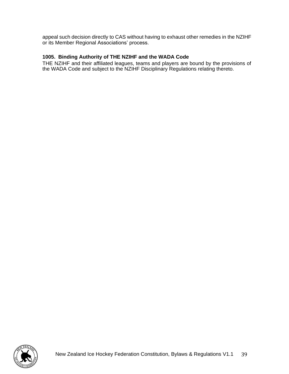appeal such decision directly to CAS without having to exhaust other remedies in the NZIHF or its Member Regional Associations' process.

## **1005. Binding Authority of THE NZIHF and the WADA Code**

THE NZIHF and their affiliated leagues, teams and players are bound by the provisions of the WADA Code and subject to the NZIHF Disciplinary Regulations relating thereto.